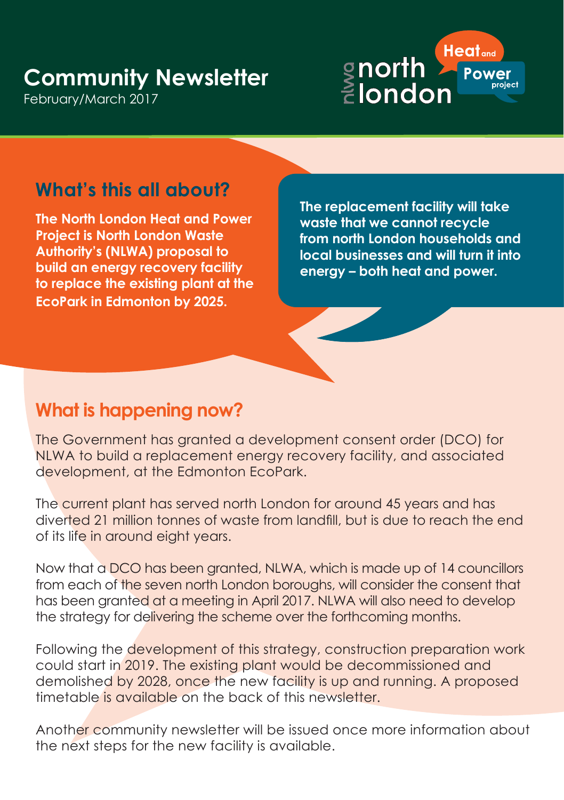# **Community Newsletter**

February/March 2017



## **What's this all about?**

**The North London Heat and Power Project is North London Waste Authority's (NLWA) proposal to build an energy recovery facility to replace the existing plant at the EcoPark in Edmonton by 2025.**

**The replacement facility will take waste that we cannot recycle from north London households and local businesses and will turn it into energy – both heat and power.** 

#### **What is happening now?**

The Government has granted a development consent order (DCO) for NLWA to build a replacement energy recovery facility, and associated development, at the Edmonton EcoPark.

The current plant has served north London for around 45 years and has diverted 21 million tonnes of waste from landfill, but is due to reach the end of its life in around eight years.

Now that a DCO has been granted, NLWA, which is made up of 14 councillors from each of the seven north London boroughs, will consider the consent that has been granted at a meeting in April 2017. NLWA will also need to develop the strategy for delivering the scheme over the forthcoming months.

Following the development of this strategy, construction preparation work could start in 2019. The existing plant would be decommissioned and demolished by 2028, once the new facility is up and running. A proposed timetable is available on the back of this newsletter.

Another community newsletter will be issued once more information about the next steps for the new facility is available.